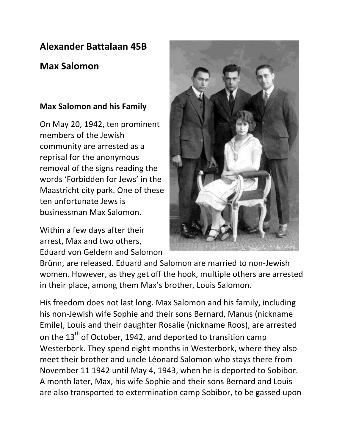## **Alexander Battalaan 45B**

## **Max Salomon**

## **Max Salomon and his Family**

On May 20, 1942, ten prominent members of the Jewish community are arrested as a reprisal for the anonymous removal of the signs reading the words 'Forbidden for Jews' in the Maastricht city park. One of these ten unfortunate Jews is businessman Max Salomon. 

Within a few days after their arrest, Max and two others, Eduard von Geldern and Salomon



Brünn, are released. Eduard and Salomon are married to non-Jewish women. However, as they get off the hook, multiple others are arrested in their place, among them Max's brother, Louis Salomon.

His freedom does not last long. Max Salomon and his family, including his non-Jewish wife Sophie and their sons Bernard, Manus (nickname Emile), Louis and their daughter Rosalie (nickname Roos), are arrested on the  $13<sup>th</sup>$  of October, 1942, and deported to transition camp Westerbork. They spend eight months in Westerbork, where they also meet their brother and uncle Léonard Salomon who stays there from November 11 1942 until May 4, 1943, when he is deported to Sobibor. A month later, Max, his wife Sophie and their sons Bernard and Louis are also transported to extermination camp Sobibor, to be gassed upon